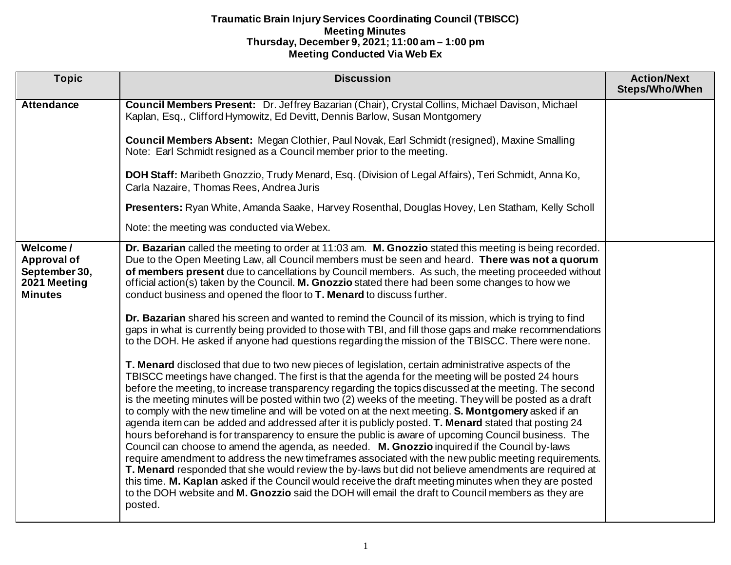| <b>Topic</b>                                                                      | <b>Discussion</b>                                                                                                                                                                                                                                                                                                                                                                                                                                                                                                                                                                                                                                                                                                                                                                                                                                                                                                                                                                                                                                                                                                                                                                                                                                                                                                                                                                                                                                                                                                                                                                                                                                                                                                                                                                                                                                                                                                                                                                                                                                                                                                                   | <b>Action/Next</b><br><b>Steps/Who/When</b> |
|-----------------------------------------------------------------------------------|-------------------------------------------------------------------------------------------------------------------------------------------------------------------------------------------------------------------------------------------------------------------------------------------------------------------------------------------------------------------------------------------------------------------------------------------------------------------------------------------------------------------------------------------------------------------------------------------------------------------------------------------------------------------------------------------------------------------------------------------------------------------------------------------------------------------------------------------------------------------------------------------------------------------------------------------------------------------------------------------------------------------------------------------------------------------------------------------------------------------------------------------------------------------------------------------------------------------------------------------------------------------------------------------------------------------------------------------------------------------------------------------------------------------------------------------------------------------------------------------------------------------------------------------------------------------------------------------------------------------------------------------------------------------------------------------------------------------------------------------------------------------------------------------------------------------------------------------------------------------------------------------------------------------------------------------------------------------------------------------------------------------------------------------------------------------------------------------------------------------------------------|---------------------------------------------|
| <b>Attendance</b>                                                                 | Council Members Present: Dr. Jeffrey Bazarian (Chair), Crystal Collins, Michael Davison, Michael<br>Kaplan, Esq., Clifford Hymowitz, Ed Devitt, Dennis Barlow, Susan Montgomery                                                                                                                                                                                                                                                                                                                                                                                                                                                                                                                                                                                                                                                                                                                                                                                                                                                                                                                                                                                                                                                                                                                                                                                                                                                                                                                                                                                                                                                                                                                                                                                                                                                                                                                                                                                                                                                                                                                                                     |                                             |
|                                                                                   | Council Members Absent: Megan Clothier, Paul Novak, Earl Schmidt (resigned), Maxine Smalling<br>Note: Earl Schmidt resigned as a Council member prior to the meeting.                                                                                                                                                                                                                                                                                                                                                                                                                                                                                                                                                                                                                                                                                                                                                                                                                                                                                                                                                                                                                                                                                                                                                                                                                                                                                                                                                                                                                                                                                                                                                                                                                                                                                                                                                                                                                                                                                                                                                               |                                             |
|                                                                                   | DOH Staff: Maribeth Gnozzio, Trudy Menard, Esq. (Division of Legal Affairs), Teri Schmidt, Anna Ko,<br>Carla Nazaire, Thomas Rees, Andrea Juris                                                                                                                                                                                                                                                                                                                                                                                                                                                                                                                                                                                                                                                                                                                                                                                                                                                                                                                                                                                                                                                                                                                                                                                                                                                                                                                                                                                                                                                                                                                                                                                                                                                                                                                                                                                                                                                                                                                                                                                     |                                             |
|                                                                                   | Presenters: Ryan White, Amanda Saake, Harvey Rosenthal, Douglas Hovey, Len Statham, Kelly Scholl                                                                                                                                                                                                                                                                                                                                                                                                                                                                                                                                                                                                                                                                                                                                                                                                                                                                                                                                                                                                                                                                                                                                                                                                                                                                                                                                                                                                                                                                                                                                                                                                                                                                                                                                                                                                                                                                                                                                                                                                                                    |                                             |
|                                                                                   | Note: the meeting was conducted via Webex.                                                                                                                                                                                                                                                                                                                                                                                                                                                                                                                                                                                                                                                                                                                                                                                                                                                                                                                                                                                                                                                                                                                                                                                                                                                                                                                                                                                                                                                                                                                                                                                                                                                                                                                                                                                                                                                                                                                                                                                                                                                                                          |                                             |
| Welcome/<br><b>Approval of</b><br>September 30,<br>2021 Meeting<br><b>Minutes</b> | Dr. Bazarian called the meeting to order at 11:03 am. M. Gnozzio stated this meeting is being recorded.<br>Due to the Open Meeting Law, all Council members must be seen and heard. There was not a quorum<br>of members present due to cancellations by Council members. As such, the meeting proceeded without<br>official action(s) taken by the Council. M. Gnozzio stated there had been some changes to how we<br>conduct business and opened the floor to T. Menard to discuss further.<br>Dr. Bazarian shared his screen and wanted to remind the Council of its mission, which is trying to find<br>gaps in what is currently being provided to those with TBI, and fill those gaps and make recommendations<br>to the DOH. He asked if anyone had questions regarding the mission of the TBISCC. There were none.<br>T. Menard disclosed that due to two new pieces of legislation, certain administrative aspects of the<br>TBISCC meetings have changed. The first is that the agenda for the meeting will be posted 24 hours<br>before the meeting, to increase transparency regarding the topics discussed at the meeting. The second<br>is the meeting minutes will be posted within two (2) weeks of the meeting. They will be posted as a draft<br>to comply with the new timeline and will be voted on at the next meeting. S. Montgomery asked if an<br>agenda item can be added and addressed after it is publicly posted. T. Menard stated that posting 24<br>hours beforehand is for transparency to ensure the public is aware of upcoming Council business. The<br>Council can choose to amend the agenda, as needed. M. Gnozzio inquired if the Council by-laws<br>require amendment to address the new timeframes associated with the new public meeting requirements.<br>T. Menard responded that she would review the by-laws but did not believe amendments are required at<br>this time. M. Kaplan asked if the Council would receive the draft meeting minutes when they are posted<br>to the DOH website and M. Gnozzio said the DOH will email the draft to Council members as they are<br>posted. |                                             |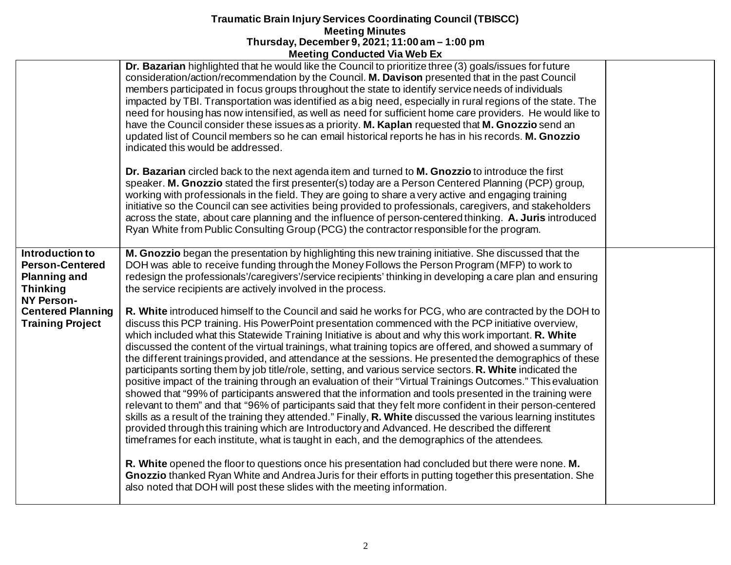|                                                                                                          | <b>INICCITILY CONTRACTER VIA MED EX</b>                                                                                                                                                                                                                                                                                                                                                                                                                                                                                                                                                                                                                                                                                                                                                                                                                                                                                                                                                                                                                                                                                                                                                                                                                                                                                                                                                                                          |  |
|----------------------------------------------------------------------------------------------------------|----------------------------------------------------------------------------------------------------------------------------------------------------------------------------------------------------------------------------------------------------------------------------------------------------------------------------------------------------------------------------------------------------------------------------------------------------------------------------------------------------------------------------------------------------------------------------------------------------------------------------------------------------------------------------------------------------------------------------------------------------------------------------------------------------------------------------------------------------------------------------------------------------------------------------------------------------------------------------------------------------------------------------------------------------------------------------------------------------------------------------------------------------------------------------------------------------------------------------------------------------------------------------------------------------------------------------------------------------------------------------------------------------------------------------------|--|
|                                                                                                          | Dr. Bazarian highlighted that he would like the Council to prioritize three (3) goals/issues for future<br>consideration/action/recommendation by the Council. M. Davison presented that in the past Council<br>members participated in focus groups throughout the state to identify service needs of individuals<br>impacted by TBI. Transportation was identified as a big need, especially in rural regions of the state. The<br>need for housing has now intensified, as well as need for sufficient home care providers. He would like to<br>have the Council consider these issues as a priority. M. Kaplan requested that M. Gnozzio send an<br>updated list of Council members so he can email historical reports he has in his records. M. Gnozzio<br>indicated this would be addressed.                                                                                                                                                                                                                                                                                                                                                                                                                                                                                                                                                                                                                               |  |
|                                                                                                          | Dr. Bazarian circled back to the next agenda item and turned to M. Gnozzio to introduce the first<br>speaker. M. Gnozzio stated the first presenter(s) today are a Person Centered Planning (PCP) group,<br>working with professionals in the field. They are going to share a very active and engaging training<br>initiative so the Council can see activities being provided to professionals, caregivers, and stakeholders<br>across the state, about care planning and the influence of person-centered thinking. A. Juris introduced<br>Ryan White from Public Consulting Group (PCG) the contractor responsible for the program.                                                                                                                                                                                                                                                                                                                                                                                                                                                                                                                                                                                                                                                                                                                                                                                          |  |
| Introduction to<br><b>Person-Centered</b><br><b>Planning and</b><br><b>Thinking</b><br><b>NY Person-</b> | M. Gnozzio began the presentation by highlighting this new training initiative. She discussed that the<br>DOH was able to receive funding through the Money Follows the Person Program (MFP) to work to<br>redesign the professionals'/caregivers'/service recipients' thinking in developing a care plan and ensuring<br>the service recipients are actively involved in the process.                                                                                                                                                                                                                                                                                                                                                                                                                                                                                                                                                                                                                                                                                                                                                                                                                                                                                                                                                                                                                                           |  |
| <b>Centered Planning</b><br><b>Training Project</b>                                                      | R. White introduced himself to the Council and said he works for PCG, who are contracted by the DOH to<br>discuss this PCP training. His PowerPoint presentation commenced with the PCP initiative overview,<br>which included what this Statewide Training Initiative is about and why this work important. R. White<br>discussed the content of the virtual trainings, what training topics are offered, and showed a summary of<br>the different trainings provided, and attendance at the sessions. He presented the demographics of these<br>participants sorting them by job title/role, setting, and various service sectors. R. White indicated the<br>positive impact of the training through an evaluation of their "Virtual Trainings Outcomes." This evaluation<br>showed that "99% of participants answered that the information and tools presented in the training were<br>relevant to them" and that "96% of participants said that they felt more confident in their person-centered<br>skills as a result of the training they attended." Finally, R. White discussed the various learning institutes<br>provided through this training which are Introductory and Advanced. He described the different<br>timeframes for each institute, what is taught in each, and the demographics of the attendees.<br>R. White opened the floor to questions once his presentation had concluded but there were none. M. |  |
|                                                                                                          | Gnozzio thanked Ryan White and Andrea Juris for their efforts in putting together this presentation. She<br>also noted that DOH will post these slides with the meeting information.                                                                                                                                                                                                                                                                                                                                                                                                                                                                                                                                                                                                                                                                                                                                                                                                                                                                                                                                                                                                                                                                                                                                                                                                                                             |  |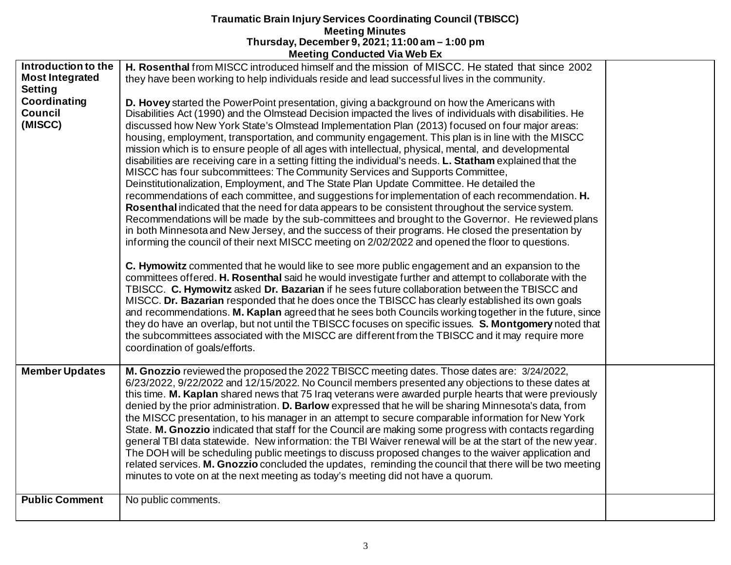|                                                                                                              | 1100                                                                                                                                                                                                                                                                                                                                                                                                                                                                                                                                                                                                                                                                                                                                                                                                                                                                                                                                                                                                                                                                                                                                                                                                                                                                                                                                                                                                                                                                                                                                                                                                                                                                                                                                                                                                                                                                                                                                                                                                                                                                                                                                                                                                                                                                                                                         |  |
|--------------------------------------------------------------------------------------------------------------|------------------------------------------------------------------------------------------------------------------------------------------------------------------------------------------------------------------------------------------------------------------------------------------------------------------------------------------------------------------------------------------------------------------------------------------------------------------------------------------------------------------------------------------------------------------------------------------------------------------------------------------------------------------------------------------------------------------------------------------------------------------------------------------------------------------------------------------------------------------------------------------------------------------------------------------------------------------------------------------------------------------------------------------------------------------------------------------------------------------------------------------------------------------------------------------------------------------------------------------------------------------------------------------------------------------------------------------------------------------------------------------------------------------------------------------------------------------------------------------------------------------------------------------------------------------------------------------------------------------------------------------------------------------------------------------------------------------------------------------------------------------------------------------------------------------------------------------------------------------------------------------------------------------------------------------------------------------------------------------------------------------------------------------------------------------------------------------------------------------------------------------------------------------------------------------------------------------------------------------------------------------------------------------------------------------------------|--|
| Introduction to the<br><b>Most Integrated</b><br><b>Setting</b><br>Coordinating<br><b>Council</b><br>(MISCC) | H. Rosenthal from MISCC introduced himself and the mission of MISCC. He stated that since 2002<br>they have been working to help individuals reside and lead successful lives in the community.<br>D. Hovey started the PowerPoint presentation, giving a background on how the Americans with<br>Disabilities Act (1990) and the Olmstead Decision impacted the lives of individuals with disabilities. He<br>discussed how New York State's Olmstead Implementation Plan (2013) focused on four major areas:<br>housing, employment, transportation, and community engagement. This plan is in line with the MISCC<br>mission which is to ensure people of all ages with intellectual, physical, mental, and developmental<br>disabilities are receiving care in a setting fitting the individual's needs. L. Statham explained that the<br>MISCC has four subcommittees: The Community Services and Supports Committee,<br>Deinstitutionalization, Employment, and The State Plan Update Committee. He detailed the<br>recommendations of each committee, and suggestions for implementation of each recommendation. H.<br>Rosenthal indicated that the need for data appears to be consistent throughout the service system.<br>Recommendations will be made by the sub-committees and brought to the Governor. He reviewed plans<br>in both Minnesota and New Jersey, and the success of their programs. He closed the presentation by<br>informing the council of their next MISCC meeting on 2/02/2022 and opened the floor to questions.<br>C. Hymowitz commented that he would like to see more public engagement and an expansion to the<br>committees offered. H. Rosenthal said he would investigate further and attempt to collaborate with the<br>TBISCC. C. Hymowitz asked Dr. Bazarian if he sees future collaboration between the TBISCC and<br>MISCC. Dr. Bazarian responded that he does once the TBISCC has clearly established its own goals<br>and recommendations. M. Kaplan agreed that he sees both Councils working together in the future, since<br>they do have an overlap, but not until the TBISCC focuses on specific issues. S. Montgomery noted that<br>the subcommittees associated with the MISCC are different from the TBISCC and it may require more<br>coordination of goals/efforts. |  |
| <b>Member Updates</b>                                                                                        | M. Gnozzio reviewed the proposed the 2022 TBISCC meeting dates. Those dates are: 3/24/2022,<br>6/23/2022, 9/22/2022 and 12/15/2022. No Council members presented any objections to these dates at<br>this time. M. Kaplan shared news that 75 Iraq veterans were awarded purple hearts that were previously<br>denied by the prior administration. D. Barlow expressed that he will be sharing Minnesota's data, from<br>the MISCC presentation, to his manager in an attempt to secure comparable information for New York<br>State. M. Gnozzio indicated that staff for the Council are making some progress with contacts regarding<br>general TBI data statewide. New information: the TBI Waiver renewal will be at the start of the new year.<br>The DOH will be scheduling public meetings to discuss proposed changes to the waiver application and<br>related services. M. Gnozzio concluded the updates, reminding the council that there will be two meeting<br>minutes to vote on at the next meeting as today's meeting did not have a quorum.                                                                                                                                                                                                                                                                                                                                                                                                                                                                                                                                                                                                                                                                                                                                                                                                                                                                                                                                                                                                                                                                                                                                                                                                                                                                  |  |
| <b>Public Comment</b>                                                                                        | No public comments.                                                                                                                                                                                                                                                                                                                                                                                                                                                                                                                                                                                                                                                                                                                                                                                                                                                                                                                                                                                                                                                                                                                                                                                                                                                                                                                                                                                                                                                                                                                                                                                                                                                                                                                                                                                                                                                                                                                                                                                                                                                                                                                                                                                                                                                                                                          |  |
|                                                                                                              |                                                                                                                                                                                                                                                                                                                                                                                                                                                                                                                                                                                                                                                                                                                                                                                                                                                                                                                                                                                                                                                                                                                                                                                                                                                                                                                                                                                                                                                                                                                                                                                                                                                                                                                                                                                                                                                                                                                                                                                                                                                                                                                                                                                                                                                                                                                              |  |